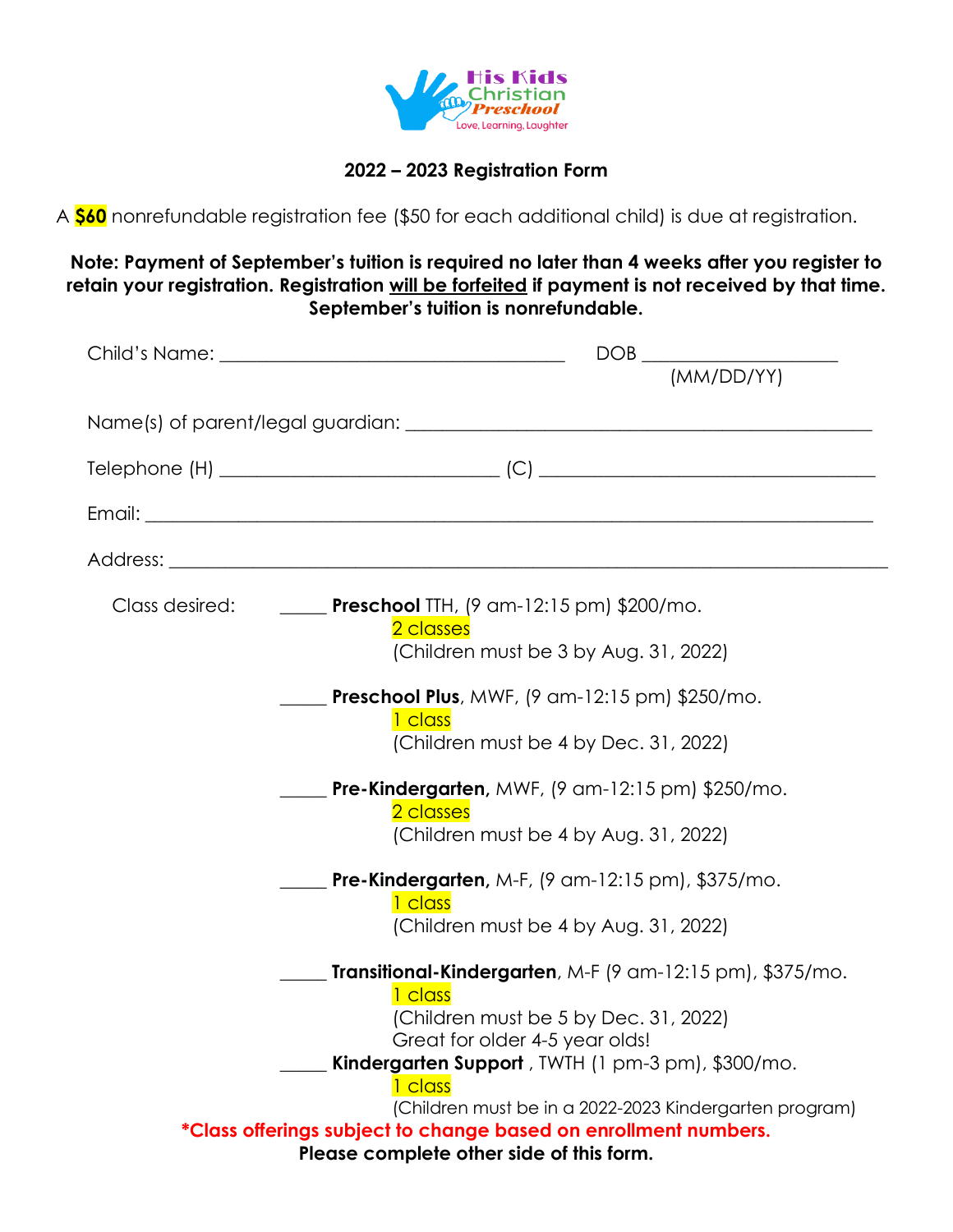

## **2022 – 2023 Registration Form**

A **\$60** nonrefundable registration fee (\$50 for each additional child) is due at registration.

**Note: Payment of September's tuition is required no later than 4 weeks after you register to retain your registration. Registration will be forfeited if payment is not received by that time. September's tuition is nonrefundable.**

| $\begin{picture}(150,10) \put(0,0){\dashbox{0.5}(10,0){ }} \put(150,0){\circle{10}} \put(150,0){\circle{10}} \put(150,0){\circle{10}} \put(150,0){\circle{10}} \put(150,0){\circle{10}} \put(150,0){\circle{10}} \put(150,0){\circle{10}} \put(150,0){\circle{10}} \put(150,0){\circle{10}} \put(150,0){\circle{10}} \put(150,0){\circle{10}} \put(150,0){\circle{10}} \put(150,$ |  |  |  |
|-----------------------------------------------------------------------------------------------------------------------------------------------------------------------------------------------------------------------------------------------------------------------------------------------------------------------------------------------------------------------------------|--|--|--|
| (MM/DD/YY)                                                                                                                                                                                                                                                                                                                                                                        |  |  |  |
|                                                                                                                                                                                                                                                                                                                                                                                   |  |  |  |
|                                                                                                                                                                                                                                                                                                                                                                                   |  |  |  |
|                                                                                                                                                                                                                                                                                                                                                                                   |  |  |  |
|                                                                                                                                                                                                                                                                                                                                                                                   |  |  |  |
| Class desired: _______ Preschool TTH, (9 am-12:15 pm) \$200/mo.<br>2 classes                                                                                                                                                                                                                                                                                                      |  |  |  |
| (Children must be 3 by Aug. 31, 2022)                                                                                                                                                                                                                                                                                                                                             |  |  |  |
| <b>Preschool Plus</b> , MWF, (9 am-12:15 pm) \$250/mo.<br>1 class                                                                                                                                                                                                                                                                                                                 |  |  |  |
| (Children must be 4 by Dec. 31, 2022)                                                                                                                                                                                                                                                                                                                                             |  |  |  |
| <b>Pre-Kindergarten</b> , MWF, (9 am-12:15 pm) \$250/mo.<br>2 classes                                                                                                                                                                                                                                                                                                             |  |  |  |
| (Children must be 4 by Aug. 31, 2022)                                                                                                                                                                                                                                                                                                                                             |  |  |  |
| <b>Pre-Kindergarten, M-F, (9 am-12:15 pm), \$375/mo.</b><br>1 class                                                                                                                                                                                                                                                                                                               |  |  |  |
| (Children must be 4 by Aug. 31, 2022)                                                                                                                                                                                                                                                                                                                                             |  |  |  |
| Transitional-Kindergarten, M-F (9 am-12:15 pm), \$375/mo.                                                                                                                                                                                                                                                                                                                         |  |  |  |
| 1 class<br>(Children must be 5 by Dec. 31, 2022)                                                                                                                                                                                                                                                                                                                                  |  |  |  |
| Great for older 4-5 year olds!<br>Kindergarten Support, TWTH (1 pm-3 pm), \$300/mo.                                                                                                                                                                                                                                                                                               |  |  |  |
| 1 class<br>(Children must be in a 2022-2023 Kindergarten program)                                                                                                                                                                                                                                                                                                                 |  |  |  |
| *Class offerings subject to change based on enrollment numbers.<br>Please complete other side of this form.                                                                                                                                                                                                                                                                       |  |  |  |
|                                                                                                                                                                                                                                                                                                                                                                                   |  |  |  |